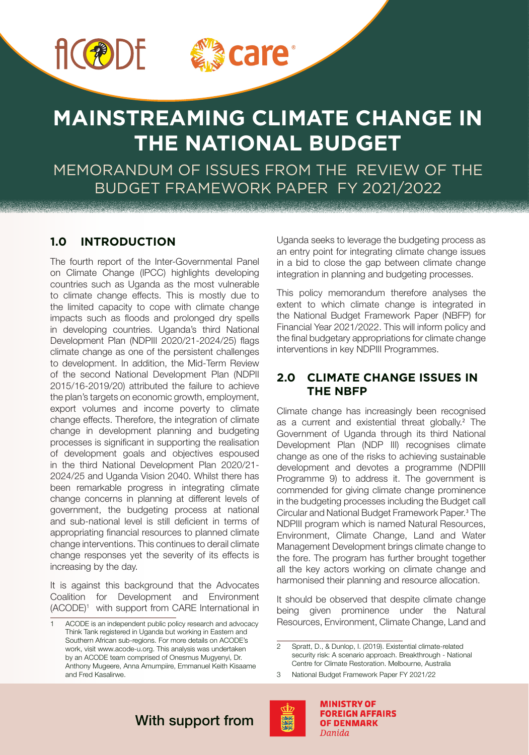



# **MAINSTREAMING CLIMATE CHANGE IN THE NATIONAL BUDGET**

MEMORANDUM OF ISSUES FROM THE REVIEW OF THE BUDGET FRAMEWORK PAPER FY 2021/2022

# **1.0 INTRODUCTION**

The fourth report of the Inter-Governmental Panel on Climate Change (IPCC) highlights developing countries such as Uganda as the most vulnerable to climate change effects. This is mostly due to the limited capacity to cope with climate change impacts such as floods and prolonged dry spells in developing countries. Uganda's third National Development Plan (NDPIII 2020/21-2024/25) flags climate change as one of the persistent challenges to development. In addition, the Mid-Term Review of the second National Development Plan (NDPII 2015/16-2019/20) attributed the failure to achieve the plan's targets on economic growth, employment, export volumes and income poverty to climate change effects. Therefore, the integration of climate change in development planning and budgeting processes is significant in supporting the realisation of development goals and objectives espoused in the third National Development Plan 2020/21- 2024/25 and Uganda Vision 2040. Whilst there has been remarkable progress in integrating climate change concerns in planning at different levels of government, the budgeting process at national and sub-national level is still deficient in terms of appropriating financial resources to planned climate change interventions. This continues to derail climate change responses yet the severity of its effects is increasing by the day.

It is against this background that the Advocates Coalition for Development and Environment (ACODE)1 with support from CARE International in Uganda seeks to leverage the budgeting process as an entry point for integrating climate change issues in a bid to close the gap between climate change integration in planning and budgeting processes.

This policy memorandum therefore analyses the extent to which climate change is integrated in the National Budget Framework Paper (NBFP) for Financial Year 2021/2022. This will inform policy and the final budgetary appropriations for climate change interventions in key NDPIII Programmes.

# **2.0 CLIMATE CHANGE ISSUES IN THE NBFP**

Climate change has increasingly been recognised as a current and existential threat globally.<sup>2</sup> The Government of Uganda through its third National Development Plan (NDP III) recognises climate change as one of the risks to achieving sustainable development and devotes a programme (NDPIII Programme 9) to address it. The government is commended for giving climate change prominence in the budgeting processes including the Budget call Circular and National Budget Framework Paper.<sup>3</sup> The NDPIII program which is named Natural Resources, Environment, Climate Change, Land and Water Management Development brings climate change to the fore. The program has further brought together all the key actors working on climate change and harmonised their planning and resource allocation.

It should be observed that despite climate change being given prominence under the Natural Resources, Environment, Climate Change, Land and

<sup>3</sup> National Budget Framework Paper FY 2021/22



**MINISTRY OF FOREIGN AFFAIRS OF DENMARK** Danida

# With support from

<sup>1</sup> ACODE is an independent public policy research and advocacy Think Tank registered in Uganda but working in Eastern and Southern African sub-regions. For more details on ACODE's work, visit www.acode-u.org. This analysis was undertaken by an ACODE team comprised of Onesmus Mugyenyi, Dr. Anthony Mugeere, Anna Amumpiire, Emmanuel Keith Kisaame and Fred Kasalirwe.

<sup>2</sup> Spratt, D., & Dunlop, I. (2019). Existential climate-related security risk: A scenario approach. Breakthrough - National Centre for Climate Restoration. Melbourne, Australia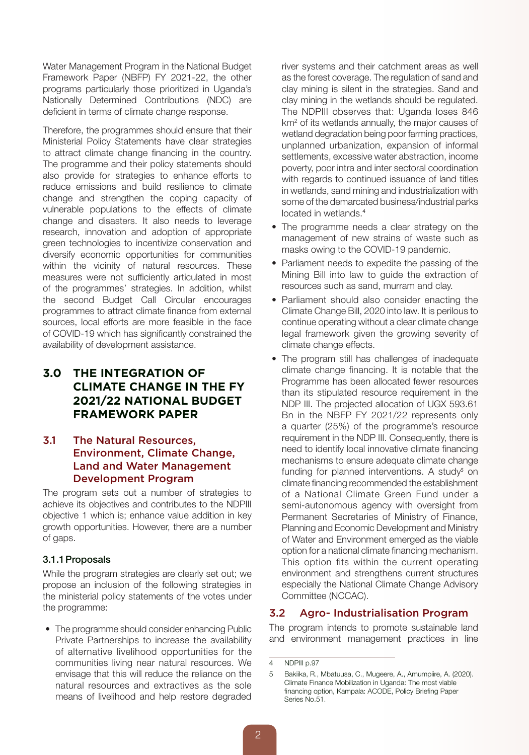Water Management Program in the National Budget Framework Paper (NBFP) FY 2021-22, the other programs particularly those prioritized in Uganda's Nationally Determined Contributions (NDC) are deficient in terms of climate change response.

Therefore, the programmes should ensure that their Ministerial Policy Statements have clear strategies to attract climate change financing in the country. The programme and their policy statements should also provide for strategies to enhance efforts to reduce emissions and build resilience to climate change and strengthen the coping capacity of vulnerable populations to the effects of climate change and disasters. It also needs to leverage research, innovation and adoption of appropriate green technologies to incentivize conservation and diversify economic opportunities for communities within the vicinity of natural resources. These measures were not sufficiently articulated in most of the programmes' strategies. In addition, whilst the second Budget Call Circular encourages programmes to attract climate finance from external sources, local efforts are more feasible in the face of COVID-19 which has significantly constrained the availability of development assistance.

# **3.0 THE INTEGRATION OF CLIMATE CHANGE IN THE FY 2021/22 NATIONAL BUDGET FRAMEWORK PAPER**

# 3.1 The Natural Resources, Environment, Climate Change, Land and Water Management Development Program

The program sets out a number of strategies to achieve its objectives and contributes to the NDPIII objective 1 which is; enhance value addition in key growth opportunities. However, there are a number of gaps.

### 3.1.1Proposals

While the program strategies are clearly set out; we propose an inclusion of the following strategies in the ministerial policy statements of the votes under the programme:

• The programme should consider enhancing Public Private Partnerships to increase the availability of alternative livelihood opportunities for the communities living near natural resources. We envisage that this will reduce the reliance on the natural resources and extractives as the sole means of livelihood and help restore degraded

river systems and their catchment areas as well as the forest coverage. The regulation of sand and clay mining is silent in the strategies. Sand and clay mining in the wetlands should be regulated. The NDPIII observes that: Uganda loses 846 km2 of its wetlands annually, the major causes of wetland degradation being poor farming practices, unplanned urbanization, expansion of informal settlements, excessive water abstraction, income poverty, poor intra and inter sectoral coordination with regards to continued issuance of land titles in wetlands, sand mining and industrialization with some of the demarcated business/industrial parks located in wetlands.<sup>4</sup>

- The programme needs a clear strategy on the management of new strains of waste such as masks owing to the COVID-19 pandemic.
- Parliament needs to expedite the passing of the Mining Bill into law to guide the extraction of resources such as sand, murram and clay.
- Parliament should also consider enacting the Climate Change Bill, 2020 into law. It is perilous to continue operating without a clear climate change legal framework given the growing severity of climate change effects.
- The program still has challenges of inadequate climate change financing. It is notable that the Programme has been allocated fewer resources than its stipulated resource requirement in the NDP III. The projected allocation of UGX 593.61 Bn in the NBFP FY 2021/22 represents only a quarter (25%) of the programme's resource requirement in the NDP III. Consequently, there is need to identify local innovative climate financing mechanisms to ensure adequate climate change funding for planned interventions. A study<sup>5</sup> on climate financing recommended the establishment of a National Climate Green Fund under a semi-autonomous agency with oversight from Permanent Secretaries of Ministry of Finance, Planning and Economic Development and Ministry of Water and Environment emerged as the viable option for a national climate financing mechanism. This option fits within the current operating environment and strengthens current structures especially the National Climate Change Advisory Committee (NCCAC).

# 3.2 Agro- Industrialisation Program

The program intends to promote sustainable land and environment management practices in line

<sup>4</sup> NDPIII p.97

<sup>5</sup> Bakiika, R., Mbatuusa, C., Mugeere, A., Amumpiire, A. (2020). Climate Finance Mobilization in Uganda: The most viable financing option, Kampala: ACODE, Policy Briefing Paper Series No.51.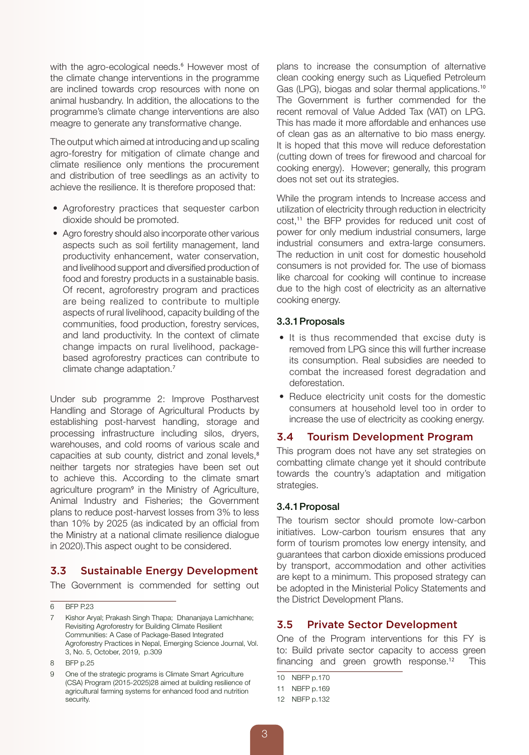with the agro-ecological needs.<sup>6</sup> However most of the climate change interventions in the programme are inclined towards crop resources with none on animal husbandry. In addition, the allocations to the programme's climate change interventions are also meagre to generate any transformative change.

The output which aimed at introducing and up scaling agro-forestry for mitigation of climate change and climate resilience only mentions the procurement and distribution of tree seedlings as an activity to achieve the resilience. It is therefore proposed that:

- Agroforestry practices that sequester carbon dioxide should be promoted.
- Agro forestry should also incorporate other various aspects such as soil fertility management, land productivity enhancement, water conservation, and livelihood support and diversified production of food and forestry products in a sustainable basis. Of recent, agroforestry program and practices are being realized to contribute to multiple aspects of rural livelihood, capacity building of the communities, food production, forestry services, and land productivity. In the context of climate change impacts on rural livelihood, packagebased agroforestry practices can contribute to climate change adaptation.<sup>7</sup>

Under sub programme 2: Improve Postharvest Handling and Storage of Agricultural Products by establishing post-harvest handling, storage and processing infrastructure including silos, dryers, warehouses, and cold rooms of various scale and capacities at sub county, district and zonal levels,<sup>8</sup> neither targets nor strategies have been set out to achieve this. According to the climate smart agriculture program<sup>9</sup> in the Ministry of Agriculture, Animal Industry and Fisheries; the Government plans to reduce post-harvest losses from 3% to less than 10% by 2025 (as indicated by an official from the Ministry at a national climate resilience dialogue in 2020).This aspect ought to be considered.

# 3.3 Sustainable Energy Development

The Government is commended for setting out

8 BFP p.25

plans to increase the consumption of alternative clean cooking energy such as Liquefied Petroleum Gas (LPG), biogas and solar thermal applications.<sup>10</sup> The Government is further commended for the recent removal of Value Added Tax (VAT) on LPG. This has made it more affordable and enhances use of clean gas as an alternative to bio mass energy. It is hoped that this move will reduce deforestation (cutting down of trees for firewood and charcoal for cooking energy). However; generally, this program does not set out its strategies.

While the program intends to Increase access and utilization of electricity through reduction in electricity cost,<sup>11</sup> the BFP provides for reduced unit cost of power for only medium industrial consumers, large industrial consumers and extra-large consumers. The reduction in unit cost for domestic household consumers is not provided for. The use of biomass like charcoal for cooking will continue to increase due to the high cost of electricity as an alternative cooking energy.

#### 3.3.1Proposals

- It is thus recommended that excise duty is removed from LPG since this will further increase its consumption. Real subsidies are needed to combat the increased forest degradation and deforestation.
- Reduce electricity unit costs for the domestic consumers at household level too in order to increase the use of electricity as cooking energy.

### 3.4 Tourism Development Program

This program does not have any set strategies on combatting climate change yet it should contribute towards the country's adaptation and mitigation strategies.

### 3.4.1Proposal

The tourism sector should promote low-carbon initiatives. Low-carbon tourism ensures that any form of tourism promotes low energy intensity, and guarantees that carbon dioxide emissions produced by transport, accommodation and other activities are kept to a minimum. This proposed strategy can be adopted in the Ministerial Policy Statements and the District Development Plans.

# 3.5 Private Sector Development

One of the Program interventions for this FY is to: Build private sector capacity to access green financing and green growth response.<sup>12</sup> This

10 NBFP p.170

<sup>6</sup> BFP P.23

<sup>7</sup> Kishor Aryal; Prakash Singh Thapa; Dhananjaya Lamichhane; Revisiting Agroforestry for Building Climate Resilient Communities: A Case of Package-Based Integrated Agroforestry Practices in Nepal, Emerging Science Journal, Vol. 3, No. 5, October, 2019, p.309

One of the strategic programs is Climate Smart Agriculture (CSA) Program (2015-2025)28 aimed at building resilience of agricultural farming systems for enhanced food and nutrition security.

<sup>11</sup> NBFP p.169

<sup>12</sup> NBFP p.132